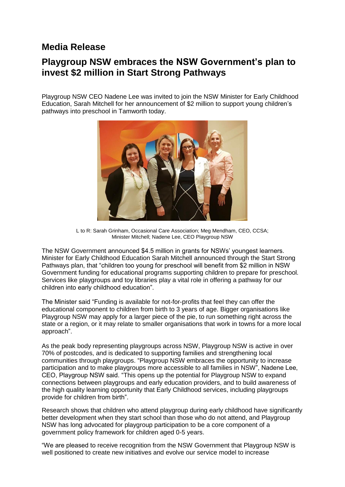## **Media Release**

## **Playgroup NSW embraces the NSW Government's plan to invest \$2 million in Start Strong Pathways**

Playgroup NSW CEO Nadene Lee was invited to join the NSW Minister for Early Childhood Education, Sarah Mitchell for her announcement of \$2 million to support young children's pathways into preschool in Tamworth today.



L to R: Sarah Grinham, Occasional Care Association; Meg Mendham, CEO, CCSA; Minister Mitchell; Nadene Lee, CEO Playgroup NSW

The NSW Government announced \$4.5 million in grants for NSWs' youngest learners. Minister for Early Childhood Education Sarah Mitchell announced through the Start Strong Pathways plan, that "children too young for preschool will benefit from \$2 million in NSW Government funding for educational programs supporting children to prepare for preschool. Services like playgroups and toy libraries play a vital role in offering a pathway for our children into early childhood education".

The Minister said "Funding is available for not-for-profits that feel they can offer the educational component to children from birth to 3 years of age. Bigger organisations like Playgroup NSW may apply for a larger piece of the pie, to run something right across the state or a region, or it may relate to smaller organisations that work in towns for a more local approach".

As the peak body representing playgroups across NSW, Playgroup NSW is active in over 70% of postcodes, and is dedicated to supporting families and strengthening local communities through playgroups. "Playgroup NSW embraces the opportunity to increase participation and to make playgroups more accessible to all families in NSW", Nadene Lee, CEO, Playgroup NSW said. "This opens up the potential for Playgroup NSW to expand connections between playgroups and early education providers, and to build awareness of the high quality learning opportunity that Early Childhood services, including playgroups provide for children from birth".

Research shows that children who attend playgroup during early childhood have significantly better development when they start school than those who do not attend, and Playgroup NSW has long advocated for playgroup participation to be a core component of a government policy framework for children aged 0-5 years.

"We are pleased to receive recognition from the NSW Government that Playgroup NSW is well positioned to create new initiatives and evolve our service model to increase